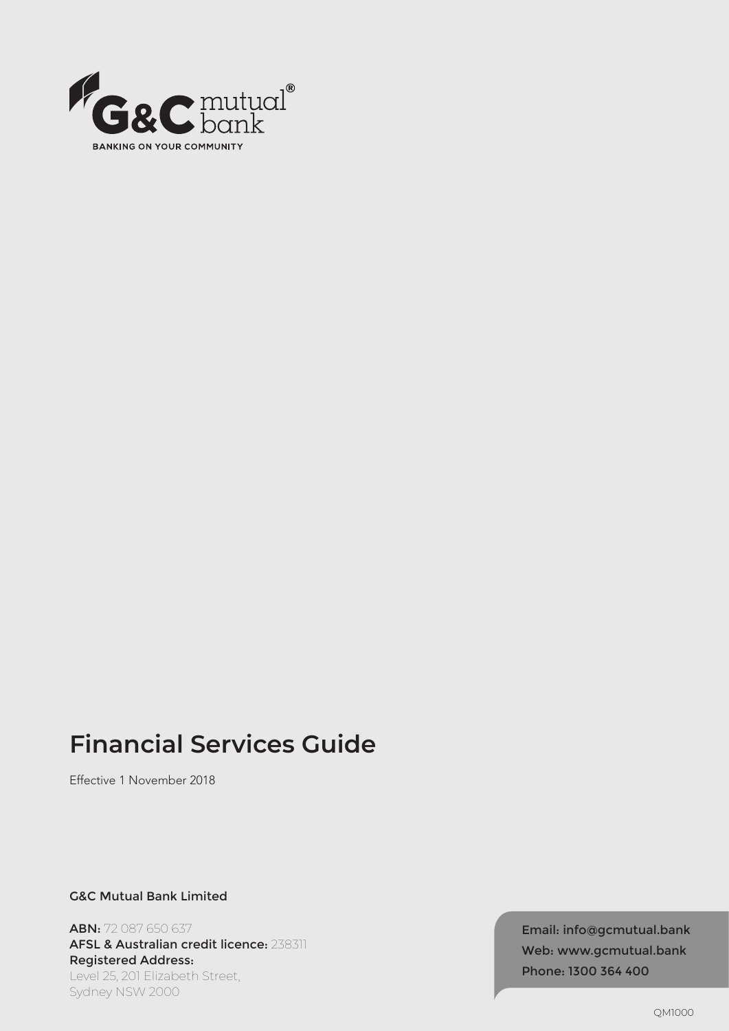

# **Financial Services Guide**

Effective 1 November 2018

G&C Mutual Bank Limited

ABN: 72 087 650 637 AFSL & Australian credit licence: 238311 Registered Address: Level 25, 201 Elizabeth Street, Sydney NSW 2000

Email: info@gcmutual.bank Web: www.gcmutual.bank Phone: 1300 364 400

QM1000